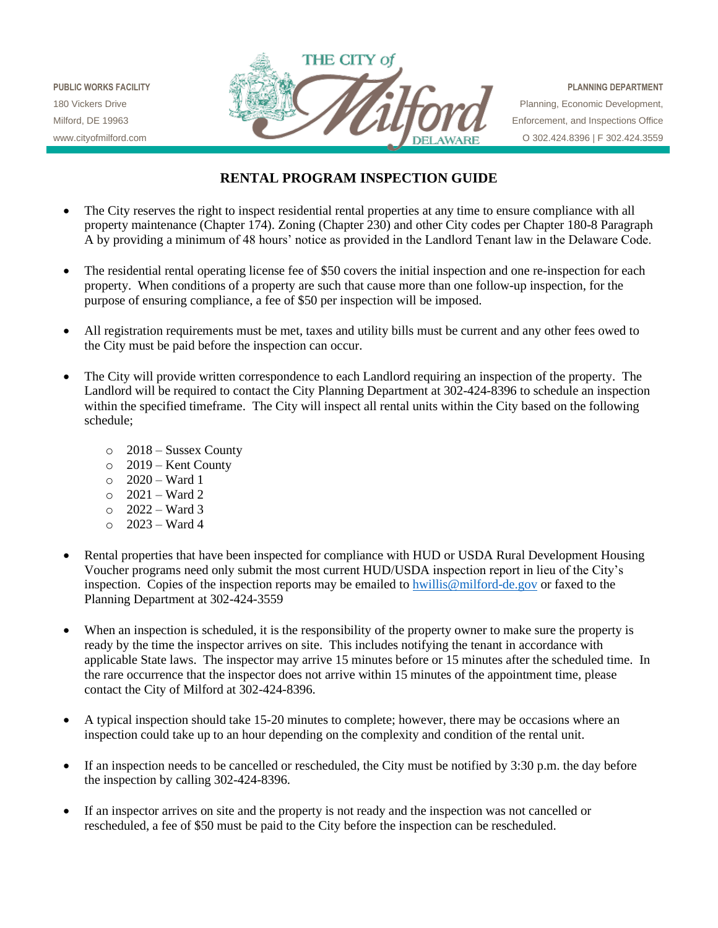

## **RENTAL PROGRAM INSPECTION GUIDE**

- The City reserves the right to inspect residential rental properties at any time to ensure compliance with all property maintenance (Chapter 174). Zoning (Chapter 230) and other City codes per Chapter 180-8 Paragraph A by providing a minimum of 48 hours' notice as provided in the Landlord Tenant law in the Delaware Code.
- The residential rental operating license fee of \$50 covers the initial inspection and one re-inspection for each property. When conditions of a property are such that cause more than one follow-up inspection, for the purpose of ensuring compliance, a fee of \$50 per inspection will be imposed.
- All registration requirements must be met, taxes and utility bills must be current and any other fees owed to the City must be paid before the inspection can occur.
- The City will provide written correspondence to each Landlord requiring an inspection of the property. The Landlord will be required to contact the City Planning Department at 302-424-8396 to schedule an inspection within the specified timeframe. The City will inspect all rental units within the City based on the following schedule;
	- o 2018 Sussex County
	- o 2019 Kent County
	- o 2020 Ward 1
	- $\circ$  2021 Ward 2
	- o 2022 Ward 3
	- $\circ$  2023 Ward 4
- Rental properties that have been inspected for compliance with HUD or USDA Rural Development Housing Voucher programs need only submit the most current HUD/USDA inspection report in lieu of the City's inspection. Copies of the inspection reports may be emailed to hwillis@milford-de.gov or faxed to the Planning Department at 302-424-3559
- When an inspection is scheduled, it is the responsibility of the property owner to make sure the property is ready by the time the inspector arrives on site. This includes notifying the tenant in accordance with applicable State laws. The inspector may arrive 15 minutes before or 15 minutes after the scheduled time. In the rare occurrence that the inspector does not arrive within 15 minutes of the appointment time, please contact the City of Milford at 302-424-8396.
- A typical inspection should take 15-20 minutes to complete; however, there may be occasions where an inspection could take up to an hour depending on the complexity and condition of the rental unit.
- If an inspection needs to be cancelled or rescheduled, the City must be notified by 3:30 p.m. the day before the inspection by calling 302-424-8396.
- If an inspector arrives on site and the property is not ready and the inspection was not cancelled or rescheduled, a fee of \$50 must be paid to the City before the inspection can be rescheduled.